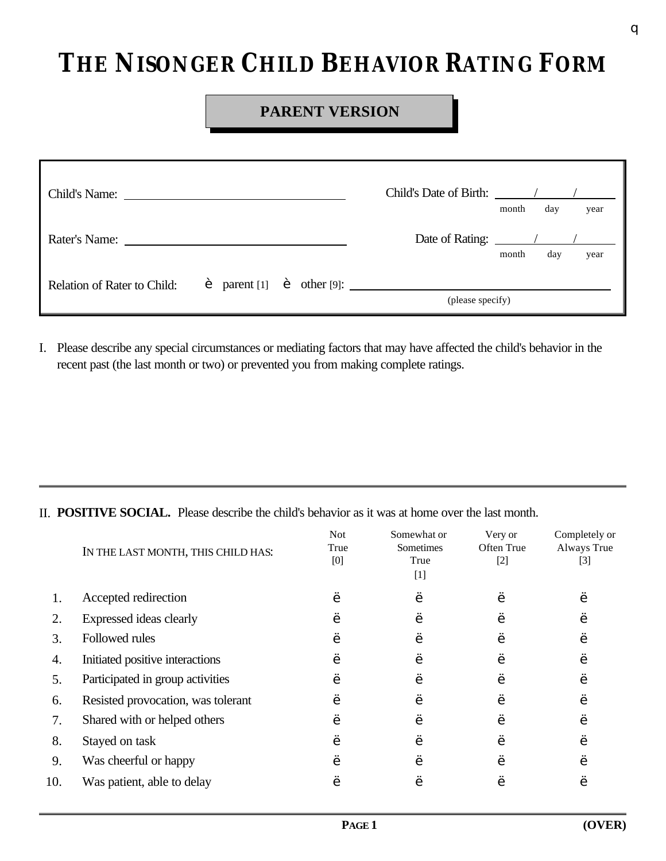## **THE NISONGER CHILD BEHAVIOR RATING FORM**

## **PARENT VERSION**

| Child's Name:               |  |  |  | Child's Date of Birth: / /                                                                                    |       |     |      |
|-----------------------------|--|--|--|---------------------------------------------------------------------------------------------------------------|-------|-----|------|
|                             |  |  |  |                                                                                                               | month | day | year |
| Rater's Name:               |  |  |  | Date of Rating: $\frac{1}{\sqrt{1-\frac{1}{2}}\sqrt{1-\frac{1}{2}}\sqrt{1-\frac{1}{2}}\sqrt{1-\frac{1}{2}}}}$ |       |     |      |
|                             |  |  |  |                                                                                                               | month | day | year |
| Relation of Rater to Child: |  |  |  |                                                                                                               |       |     |      |
|                             |  |  |  | (please specify)                                                                                              |       |     |      |

I. Please describe any special circumstances or mediating factors that may have affected the child's behavior in the recent past (the last month or two) or prevented you from making complete ratings.

II. **POSITIVE SOCIAL.** Please describe the child's behavior as it was at home over the last month.

|     | IN THE LAST MONTH, THIS CHILD HAS: | <b>Not</b><br>True<br>[0] | Somewhat or<br>Sometimes<br>True<br>$[1]$ | Very or<br>Often True<br>$[2]$ | Completely or<br>Always True<br>$[3]$ |
|-----|------------------------------------|---------------------------|-------------------------------------------|--------------------------------|---------------------------------------|
|     | Accepted redirection               |                           |                                           |                                |                                       |
| 2.  | Expressed ideas clearly            |                           |                                           |                                |                                       |
| 3.  | Followed rules                     |                           |                                           |                                |                                       |
| 4.  | Initiated positive interactions    |                           |                                           |                                |                                       |
| 5.  | Participated in group activities   |                           |                                           |                                |                                       |
| 6.  | Resisted provocation, was tolerant |                           |                                           |                                |                                       |
| 7.  | Shared with or helped others       |                           |                                           |                                |                                       |
| 8.  | Stayed on task                     |                           |                                           |                                |                                       |
| 9.  | Was cheerful or happy              |                           |                                           |                                |                                       |
| 10. | Was patient, able to delay         |                           |                                           |                                |                                       |